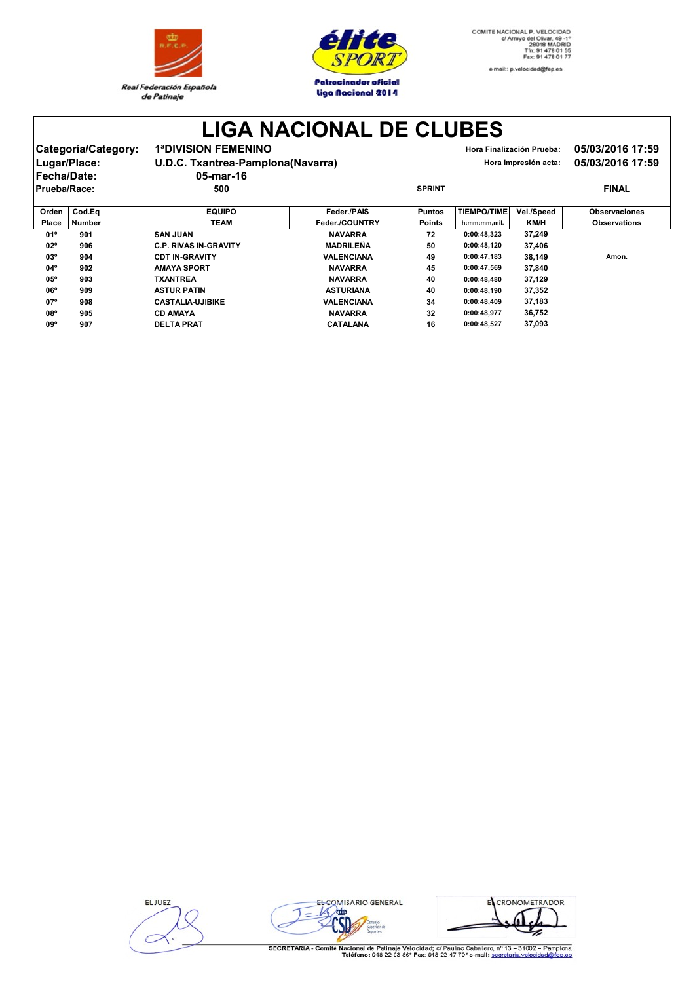



## **LIGA NACIONAL DE CLUBES**

|                     | Categoría/Category:<br>Lugar/Place: | <b>1ªDIVISION FEMENINO</b><br>U.D.C. Txantrea-Pamplona(Navarra) |                   |               |                    | Hora Finalización Prueba:<br>Hora Impresión acta: | 05/03/2016 17:59<br>05/03/2016 17:59 |
|---------------------|-------------------------------------|-----------------------------------------------------------------|-------------------|---------------|--------------------|---------------------------------------------------|--------------------------------------|
| <b>IFecha/Date:</b> |                                     | 05-mar-16                                                       |                   |               |                    |                                                   |                                      |
| <b>Prueba/Race:</b> |                                     | 500                                                             |                   | <b>SPRINT</b> |                    |                                                   | <b>FINAL</b>                         |
| Orden               | Cod.Ea                              | <b>EQUIPO</b>                                                   | Feder./PAIS       | <b>Puntos</b> | <b>TIEMPO/TIME</b> | Vel./Speed                                        | <b>Observaciones</b>                 |
| Place               | <b>Number</b>                       | <b>TEAM</b>                                                     | Feder./COUNTRY    | <b>Points</b> | h:mm:mm,mil.       | <b>KM/H</b>                                       | <b>Observations</b>                  |
| 01°                 | 901                                 | <b>SAN JUAN</b>                                                 | <b>NAVARRA</b>    | 72            | 0:00:48.323        | 37.249                                            |                                      |
| $02^{\circ}$        | 906                                 | <b>C.P. RIVAS IN-GRAVITY</b>                                    | <b>MADRILEÑA</b>  | 50            | 0:00:48.120        | 37.406                                            |                                      |
| $03^{\circ}$        | 904                                 | <b>CDT IN-GRAVITY</b>                                           | <b>VALENCIANA</b> | 49            | 0:00:47.183        | 38.149                                            | Amon.                                |

**03º 904 CDT IN-GRAVITY VALENCIANA 49 0:00:47,183 38,149 Amon.**

**04º 902 AMAYA SPORT NAVARRA 45 0:00:47,569 37,840 05º 903 TXANTREA NAVARRA 40 0:00:48,480 37,129 06º 909 ASTUR PATIN ASTURIANA 40 0:00:48,190 37,352 07º 908 CASTALIA-UJIBIKE VALENCIANA 34 0:00:48,409 37,183 08º 905 CD AMAYA NAVARRA 32 0:00:48,977 36,752 09º 907 DELTA PRAT CATALANA 16 0:00:48,527 37,093**

| EL JUEZ |  |
|---------|--|
|         |  |
|         |  |
|         |  |



EL CRONOMETRADOR

SECRETARIA - Comité Nacional de Patinaje Velocidad; c/ Paulino Caballero, nº 13 - 31002 - Pamplona<br>Teléfono: 948 22 93 86\* Fax: 948 22 47 70\* e-mail: secretaria velocidad@fep.es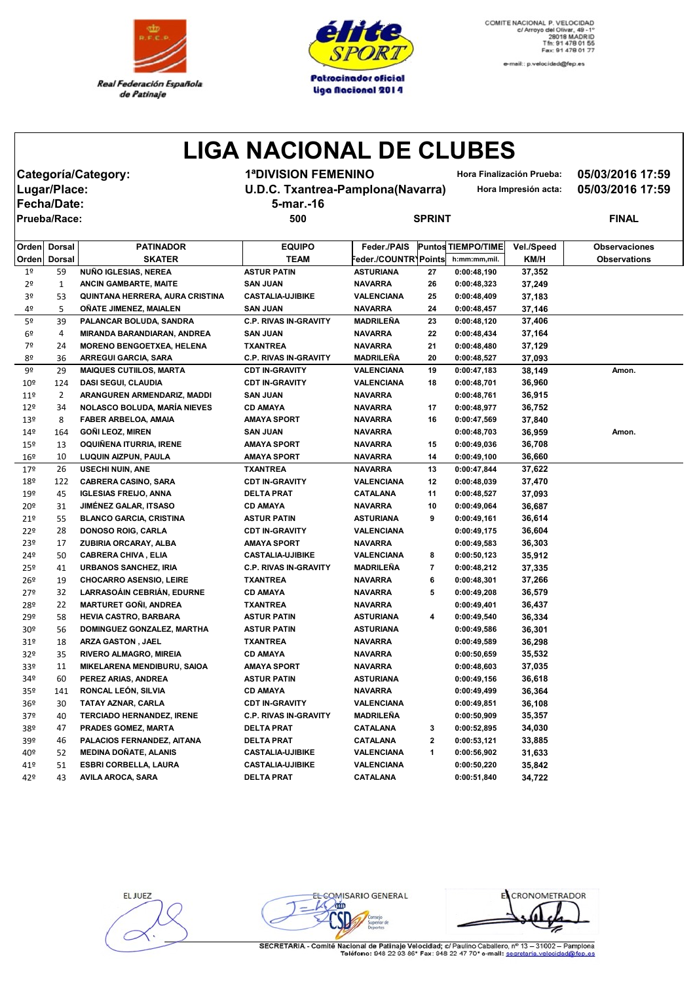



e-mail:: p.velocidad@fep.es

## **LIGA NACIONAL DE CLUBES**

| Categoría/Category: | <b>1ªDIVISION FE</b>  |
|---------------------|-----------------------|
| Lugar/Place:        | <b>U.D.C. Txantre</b> |
| <b>Fecha/Date:</b>  | 5-mar.-16             |
| Priab2R2ca          | 500                   |

**Categoría/Category: 1ªDIVISION FEMENINO Hora Finalización Prueba: 05/03/2016 17:59**

**Lugar/Place: U.D.C. Txantrea-Pamplona(Navarra) Hora Impresión acta: 05/03/2016 17:59**

| Prueba/Race:    |                |                                     | 500                          |                     | <b>SPRINT</b>  |                           |            |                      |  |
|-----------------|----------------|-------------------------------------|------------------------------|---------------------|----------------|---------------------------|------------|----------------------|--|
| Orden           | Dorsal         | <b>PATINADOR</b>                    | <b>EQUIPO</b>                | Feder./PAIS         |                | <b>Puntos TIEMPO/TIME</b> | Vel./Speed | <b>Observaciones</b> |  |
| Orden           | <b>Dorsal</b>  | <b>SKATER</b>                       | <b>TEAM</b>                  | eder./COUNTRYPoints |                | h:mm:mm,mil.              | KM/H       | <b>Observations</b>  |  |
| 1 <sup>°</sup>  | 59             | NUÑO IGLESIAS, NEREA                | <b>ASTUR PATIN</b>           | <b>ASTURIANA</b>    | 27             | 0:00:48,190               | 37,352     |                      |  |
| 2 <sup>o</sup>  | $\mathbf{1}$   | <b>ANCIN GAMBARTE, MAITE</b>        | <b>SAN JUAN</b>              | <b>NAVARRA</b>      | 26             | 0:00:48,323               | 37,249     |                      |  |
| 3º              | 53             | QUINTANA HERRERA, AURA CRISTINA     | <b>CASTALIA-UJIBIKE</b>      | VALENCIANA          | 25             | 0:00:48,409               | 37,183     |                      |  |
| 4º              | 5              | OÑATE JIMENEZ, MAIALEN              | <b>SAN JUAN</b>              | <b>NAVARRA</b>      | 24             | 0:00:48,457               | 37,146     |                      |  |
| 5º              | 39             | PALANCAR BOLUDA, SANDRA             | <b>C.P. RIVAS IN-GRAVITY</b> | MADRILEÑA           | 23             | 0:00:48,120               | 37,406     |                      |  |
| 6 <sup>9</sup>  | 4              | MIRANDA BARANDIARAN, ANDREA         | <b>SAN JUAN</b>              | <b>NAVARRA</b>      | 22             | 0:00:48,434               | 37,164     |                      |  |
| 7º              | 24             | <b>MORENO BENGOETXEA, HELENA</b>    | <b>TXANTREA</b>              | <b>NAVARRA</b>      | 21             | 0:00:48,480               | 37,129     |                      |  |
| 8º              | 36             | <b>ARREGUI GARCIA, SARA</b>         | <b>C.P. RIVAS IN-GRAVITY</b> | MADRILEÑA           | 20             | 0:00:48,527               | 37,093     |                      |  |
| 9º              | 29             | <b>MAIQUES CUTIILOS, MARTA</b>      | <b>CDT IN-GRAVITY</b>        | VALENCIANA          | 19             | 0:00:47,183               | 38,149     | Amon.                |  |
| $10^{\circ}$    | 124            | <b>DASI SEGUI, CLAUDIA</b>          | <b>CDT IN-GRAVITY</b>        | VALENCIANA          | 18             | 0:00:48,701               | 36,960     |                      |  |
| 11 <sup>°</sup> | $\overline{2}$ | ARANGUREN ARMENDARIZ, MADDI         | <b>SAN JUAN</b>              | <b>NAVARRA</b>      |                | 0:00:48,761               | 36,915     |                      |  |
| 12 <sup>°</sup> | 34             | <b>NOLASCO BOLUDA, MARÍA NIEVES</b> | <b>CD AMAYA</b>              | <b>NAVARRA</b>      | 17             | 0:00:48,977               | 36,752     |                      |  |
| 13º             | 8              | FABER ARBELOA, AMAIA                | AMAYA SPORT                  | <b>NAVARRA</b>      | 16             | 0:00:47,569               | 37,840     |                      |  |
| 14 <sup>°</sup> | 164            | <b>GOÑI LEOZ, MIREN</b>             | <b>SAN JUAN</b>              | <b>NAVARRA</b>      |                | 0:00:48,703               | 36,959     | Amon.                |  |
| 15º             | 13             | OQUIÑENA ITURRIA, IRENE             | <b>AMAYA SPORT</b>           | <b>NAVARRA</b>      | 15             | 0:00:49,036               | 36,708     |                      |  |
| $16^{\circ}$    | 10             | LUQUIN AIZPUN, PAULA                | <b>AMAYA SPORT</b>           | <b>NAVARRA</b>      | 14             | 0:00:49,100               | 36,660     |                      |  |
| 17º             | 26             | <b>USECHI NUIN, ANE</b>             | <b>TXANTREA</b>              | <b>NAVARRA</b>      | 13             | 0:00:47,844               | 37,622     |                      |  |
| 18º             | 122            | <b>CABRERA CASINO, SARA</b>         | <b>CDT IN-GRAVITY</b>        | VALENCIANA          | 12             | 0:00:48,039               | 37,470     |                      |  |
| 19º             | 45             | <b>IGLESIAS FREIJO, ANNA</b>        | <b>DELTA PRAT</b>            | <b>CATALANA</b>     | 11             | 0:00:48,527               | 37,093     |                      |  |
| 20º             | 31             | <b>JIMÉNEZ GALAR, ITSASO</b>        | <b>CD AMAYA</b>              | <b>NAVARRA</b>      | 10             | 0:00:49.064               | 36,687     |                      |  |
| 21°             | 55             | <b>BLANCO GARCIA, CRISTINA</b>      | <b>ASTUR PATIN</b>           | ASTURIANA           | 9              | 0:00:49,161               | 36,614     |                      |  |
| 22º             | 28             | <b>DONOSO ROIG, CARLA</b>           | <b>CDT IN-GRAVITY</b>        | VALENCIANA          |                | 0:00:49,175               | 36,604     |                      |  |
| 23º             | 17             | ZUBIRIA ORCARAY, ALBA               | <b>AMAYA SPORT</b>           | <b>NAVARRA</b>      |                | 0:00:49,583               | 36,303     |                      |  |
| 24º             | 50             | <b>CABRERA CHIVA, ELIA</b>          | <b>CASTALIA-UJIBIKE</b>      | VALENCIANA          | 8              | 0:00:50,123               | 35,912     |                      |  |
| 25º             | 41             | <b>URBANOS SANCHEZ, IRIA</b>        | <b>C.P. RIVAS IN-GRAVITY</b> | MADRILEÑA           | $\overline{7}$ | 0:00:48,212               | 37,335     |                      |  |
| 26 <sup>°</sup> | 19             | <b>CHOCARRO ASENSIO, LEIRE</b>      | <b>TXANTREA</b>              | <b>NAVARRA</b>      | 6              | 0:00:48,301               | 37,266     |                      |  |
| 27 <sup>°</sup> | 32             | LARRASOÁIN CEBRIÁN, EDURNE          | <b>CD AMAYA</b>              | <b>NAVARRA</b>      | 5              | 0:00:49,208               | 36,579     |                      |  |
| 28º             | 22             | <b>MARTURET GOÑI, ANDREA</b>        | <b>TXANTREA</b>              | <b>NAVARRA</b>      |                | 0:00:49,401               | 36,437     |                      |  |
| 29º             | 58             | <b>HEVIA CASTRO, BARBARA</b>        | <b>ASTUR PATIN</b>           | ASTURIANA           | 4              | 0:00:49,540               | 36,334     |                      |  |
| 30º             | 56             | DOMINGUEZ GONZALEZ, MARTHA          | <b>ASTUR PATIN</b>           | <b>ASTURIANA</b>    |                | 0:00:49.586               | 36,301     |                      |  |
| 31º             | 18             | <b>ARZA GASTON, JAEL</b>            | TXANTREA                     | <b>NAVARRA</b>      |                | 0:00:49,589               | 36,298     |                      |  |
| 32º             | 35             | <b>RIVERO ALMAGRO, MIREIA</b>       | <b>CD AMAYA</b>              | <b>NAVARRA</b>      |                | 0:00:50,659               | 35,532     |                      |  |
| 33º             | 11             | MIKELARENA MENDIBURU, SAIOA         | <b>AMAYA SPORT</b>           | <b>NAVARRA</b>      |                | 0:00:48,603               | 37,035     |                      |  |
| 34º             | 60             | PEREZ ARIAS, ANDREA                 | <b>ASTUR PATIN</b>           | <b>ASTURIANA</b>    |                | 0:00:49,156               | 36,618     |                      |  |

35º 141 **RONCAL LEÓN, SILVIA CD AMAYA NAVARRA 0:00:49,499 36,364** 36º 30 **TATAY AZNAR, CARLA CDT IN-GRAVITY VALENCIANA 0:00:49,851 36,108** 37º 40 **TERCIADO HERNANDEZ, IRENE C.P. RIVAS IN-GRAVITY MADRILEÑA 0:00:50,909 35,357**

39º 46 **PALACIOS FERNANDEZ, AITANA DELTA PRAT CATALANA 2 0:00:53,121 33,885** 40º 52 **MEDINA DOÑATE, ALANIS CASTALIA-UJIBIKE VALENCIANA 1 0:00:56,902 31,633** 41º 51 **ESBRI CORBELLA, LAURA CASTALIA-UJIBIKE VALENCIANA 0:00:50,220 35,842** 42º 43 **AVILA AROCA, SARA DELTA PRAT CATALANA 0:00:51,840 34,722**

38º 47 **PRADES GOMEZ, MARTA DELTA PRAT CATALANA 3 0:00:52,895 34,030**

EL JUEZ

EL COMISARIO GENERAL  $2m$ 

CRONOMETRADOR 립

SECRETARIA - Comité Nacional de Patinaje Velocidad; c/ Paulino Caballero, nº 13 - 31002 - Pampiona<br>Teléfono: 948 22 93 86\* Fax: 948 22 47 70\* e-mail: secretaria.velocidad@fep.es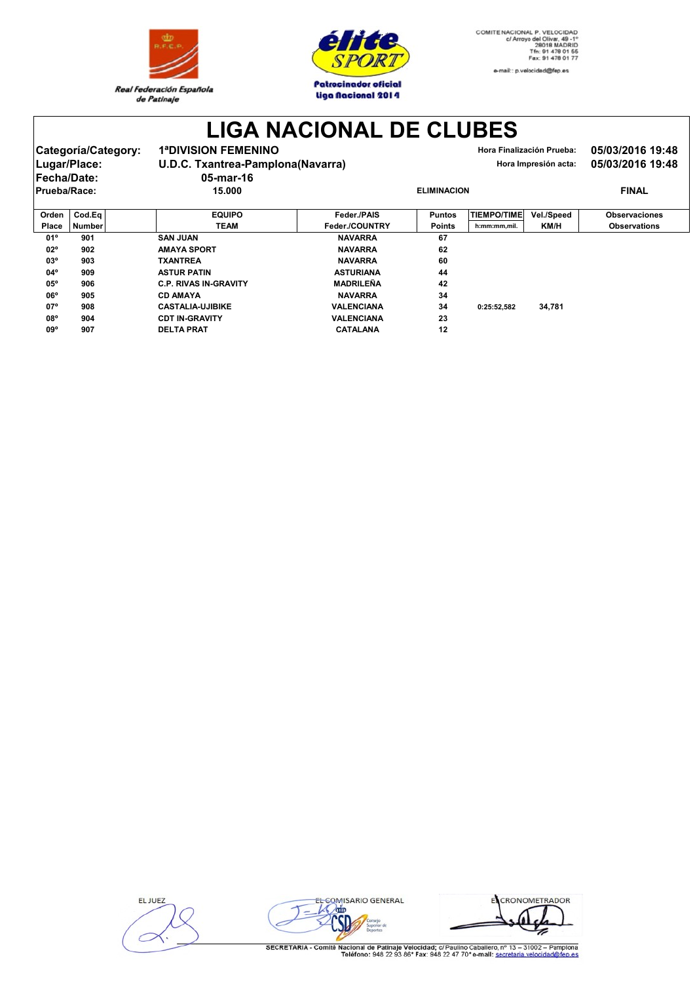



**LIGA NACIONAL DE CLUBES**

|              | Categoría/Category:<br>Lugar/Place:<br>Fecha/Date: | <b>1ªDIVISION FEMENINO</b><br>$05$ -mar-16 | U.D.C. Txantrea-Pamplona(Navarra) |                    |                    | Hora Finalización Prueba:<br>Hora Impresión acta: | 05/03/2016 19:48<br>05/03/2016 19:48 |
|--------------|----------------------------------------------------|--------------------------------------------|-----------------------------------|--------------------|--------------------|---------------------------------------------------|--------------------------------------|
| Prueba/Race: |                                                    | 15.000                                     |                                   | <b>ELIMINACION</b> |                    |                                                   | <b>FINAL</b>                         |
|              |                                                    |                                            |                                   |                    |                    |                                                   |                                      |
| Orden        | Cod.Ea                                             | <b>EQUIPO</b>                              | Feder./PAIS                       | <b>Puntos</b>      | <b>TIEMPO/TIME</b> | Vel./Speed                                        | <b>Observaciones</b>                 |
| Place        | <b>Number</b>                                      | <b>TEAM</b>                                | Feder./COUNTRY                    | <b>Points</b>      | h:mm:mm,mil.       | KM/H                                              | <b>Observations</b>                  |
| 01°          | 901                                                | <b>SAN JUAN</b>                            | <b>NAVARRA</b>                    | 67                 |                    |                                                   |                                      |

| $02^{\circ}$ | 902 | <b>AMAYA SPORT</b>           | <b>NAVARRA</b>    | 62 |             |        |
|--------------|-----|------------------------------|-------------------|----|-------------|--------|
| $03^{\circ}$ | 903 | <b>TXANTREA</b>              | <b>NAVARRA</b>    | 60 |             |        |
| $04^{\circ}$ | 909 | <b>ASTUR PATIN</b>           | <b>ASTURIANA</b>  | 44 |             |        |
| $05^{\circ}$ | 906 | <b>C.P. RIVAS IN-GRAVITY</b> | MADRILEÑA         | 42 |             |        |
| $06^{\circ}$ | 905 | <b>CD AMAYA</b>              | <b>NAVARRA</b>    | 34 |             |        |
| $07^{\circ}$ | 908 | <b>CASTALIA-UJIBIKE</b>      | <b>VALENCIANA</b> | 34 | 0:25:52.582 | 34.781 |
| 08°          | 904 | <b>CDT IN-GRAVITY</b>        | <b>VALENCIANA</b> | 23 |             |        |
| $09^{\circ}$ | 907 | <b>DELTA PRAT</b>            | <b>CATALANA</b>   | 12 |             |        |

**ELJUEZ** 



ECRONOMETRADOR  $\frac{1}{\sqrt{2}}$ 

SECRETARIA - Comité Nacional de Patinaje Velocidad; c/ Paulino Caballero, nº 13 - 31002 - Pamplona<br>Teléfono: 948 22 93 86\* Fax: 948 22 47 70\* e-mail: secretaria.velocidad@fep.es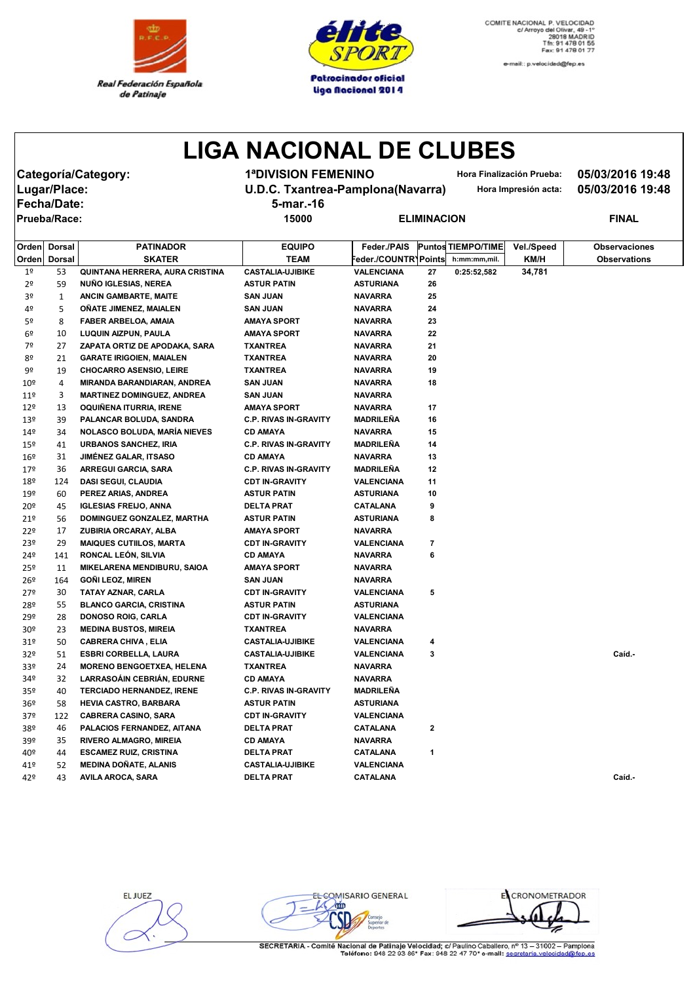



e-mail:: p.velocidad@fep.es

## **LIGA NACIONAL DE CLUBES**

**Fecha/Date: 5-mar.-16**

**Categoría/Category: 1ªDIVISION FEMENINO Hora Finalización Prueba: 05/03/2016 19:48**

**Lugar/Place: U.D.C. Txantrea-Pamplona(Navarra) Hora Impresión acta: 05/03/2016 19:48**

**Prueba/Race: 15000 ELIMINACION FINAL**

| Orden           | <b>Dorsal</b> | <b>PATINADOR</b>                    | <b>EQUIPO</b>                | Feder./PAIS          |    | <b>Puntos TIEMPO/TIME</b> | Vel./Speed | <b>Observaciones</b> |
|-----------------|---------------|-------------------------------------|------------------------------|----------------------|----|---------------------------|------------|----------------------|
| Orden           | <b>Dorsal</b> | <b>SKATER</b>                       | <b>TEAM</b>                  | Feder./COUNTR\Points |    | h:mm:mm,mil.              | KM/H       | <b>Observations</b>  |
| 1 <sup>°</sup>  | 53            | QUINTANA HERRERA, AURA CRISTINA     | <b>CASTALIA-UJIBIKE</b>      | <b>VALENCIANA</b>    | 27 | 0:25:52,582               | 34,781     |                      |
| 2º              | 59            | NUÑO IGLESIAS, NEREA                | <b>ASTUR PATIN</b>           | <b>ASTURIANA</b>     | 26 |                           |            |                      |
| 3º              | 1             | ANCIN GAMBARTE, MAITE               | <b>SAN JUAN</b>              | <b>NAVARRA</b>       | 25 |                           |            |                      |
| 4º              | 5             | OÑATE JIMENEZ, MAIALEN              | <b>SAN JUAN</b>              | <b>NAVARRA</b>       | 24 |                           |            |                      |
| 5º              | 8             | <b>FABER ARBELOA, AMAIA</b>         | <b>AMAYA SPORT</b>           | <b>NAVARRA</b>       | 23 |                           |            |                      |
| 6º              | 10            | LUQUIN AIZPUN, PAULA                | AMAYA SPORT                  | <b>NAVARRA</b>       | 22 |                           |            |                      |
| 7º              | 27            | ZAPATA ORTIZ DE APODAKA, SARA       | <b>TXANTREA</b>              | <b>NAVARRA</b>       | 21 |                           |            |                      |
| 8º              | 21            | <b>GARATE IRIGOIEN, MAIALEN</b>     | <b>TXANTREA</b>              | <b>NAVARRA</b>       | 20 |                           |            |                      |
| 9º              | 19            | <b>CHOCARRO ASENSIO, LEIRE</b>      | <b>TXANTREA</b>              | <b>NAVARRA</b>       | 19 |                           |            |                      |
| $10^{\circ}$    | 4             | MIRANDA BARANDIARAN, ANDREA         | <b>SAN JUAN</b>              | <b>NAVARRA</b>       | 18 |                           |            |                      |
| 11 <sup>°</sup> | 3             | <b>MARTINEZ DOMINGUEZ, ANDREA</b>   | SAN JUAN                     | <b>NAVARRA</b>       |    |                           |            |                      |
| 12 <sup>°</sup> | 13            | OQUINENA ITURRIA, IRENE             | AMAYA SPORT                  | <b>NAVARRA</b>       | 17 |                           |            |                      |
| 13 <sup>°</sup> | 39            | PALANCAR BOLUDA, SANDRA             | <b>C.P. RIVAS IN-GRAVITY</b> | <b>MADRILENA</b>     | 16 |                           |            |                      |
| 14º             | 34            | <b>NOLASCO BOLUDA, MARÍA NIEVES</b> | <b>CD AMAYA</b>              | <b>NAVARRA</b>       | 15 |                           |            |                      |
| 15 <sup>°</sup> | 41            | <b>URBANOS SANCHEZ, IRIA</b>        | <b>C.P. RIVAS IN-GRAVITY</b> | <b>MADRILEÑA</b>     | 14 |                           |            |                      |
| 16º             | 31            | <b>JIMÉNEZ GALAR, ITSASO</b>        | <b>CD AMAYA</b>              | <b>NAVARRA</b>       | 13 |                           |            |                      |
| 179             | 36            | ARREGUI GARCIA, SARA                | <b>C.P. RIVAS IN-GRAVITY</b> | <b>MADRILEÑA</b>     | 12 |                           |            |                      |
| 18º             | 124           | <b>DASI SEGUI, CLAUDIA</b>          | <b>CDT IN-GRAVITY</b>        | <b>VALENCIANA</b>    | 11 |                           |            |                      |
| 19º             | 60            | PEREZ ARIAS, ANDREA                 | <b>ASTUR PATIN</b>           | <b>ASTURIANA</b>     | 10 |                           |            |                      |
| 20º             | 45            | <b>IGLESIAS FREIJO, ANNA</b>        | DELTA PRAT                   | CATALANA             | 9  |                           |            |                      |
| 21 <sup>°</sup> | 56            | DOMINGUEZ GONZALEZ, MARTHA          | ASTUR PATIN                  | <b>ASTURIANA</b>     | 8  |                           |            |                      |
| 22º             | 17            | ZUBIRIA ORCARAY, ALBA               | <b>AMAYA SPORT</b>           | <b>NAVARRA</b>       |    |                           |            |                      |
| 23º             | 29            | <b>MAIQUES CUTIILOS, MARTA</b>      | <b>CDT IN-GRAVITY</b>        | VALENCIANA           | 7  |                           |            |                      |
| 24º             | 141           | RONCAL LEÓN, SILVIA                 | <b>CD AMAYA</b>              | <b>NAVARRA</b>       | 6  |                           |            |                      |
| 25º             | 11            | MIKELARENA MENDIBURU, SAIOA         | <b>AMAYA SPORT</b>           | <b>NAVARRA</b>       |    |                           |            |                      |
| 26º             | 164           | <b>GONI LEOZ, MIREN</b>             | <b>SAN JUAN</b>              | <b>NAVARRA</b>       |    |                           |            |                      |
| 27º             | 30            | TATAY AZNAR, CARLA                  | <b>CDT IN-GRAVITY</b>        | <b>VALENCIANA</b>    | 5  |                           |            |                      |
| 28º             | 55            | <b>BLANCO GARCIA, CRISTINA</b>      | <b>ASTUR PATIN</b>           | <b>ASTURIANA</b>     |    |                           |            |                      |
| 29º             | 28            | <b>DONOSO ROIG, CARLA</b>           | <b>CDT IN-GRAVITY</b>        | VALENCIANA           |    |                           |            |                      |
| 30º             | 23            | <b>MEDINA BUSTOS, MIREIA</b>        | <b>TXANTREA</b>              | <b>NAVARRA</b>       |    |                           |            |                      |
| 31º             | 50            | <b>CABRERA CHIVA, ELIA</b>          | <b>CASTALIA-UJIBIKE</b>      | VALENCIANA           | 4  |                           |            |                      |
| 32º             | 51            | <b>ESBRI CORBELLA, LAURA</b>        | <b>CASTALIA-UJIBIKE</b>      | VALENCIANA           | 3  |                           |            | Caíd.-               |
| 33º             | 24            | <b>MORENO BENGOETXEA, HELENA</b>    | <b>TXANTREA</b>              | <b>NAVARRA</b>       |    |                           |            |                      |
| 34º             | 32            | <b>LARRASOAIN CEBRIAN, EDURNE</b>   | CD AMAYA                     | <b>NAVARRA</b>       |    |                           |            |                      |
| 35º             | 40            | <b>TERCIADO HERNANDEZ, IRENE</b>    | <b>C.P. RIVAS IN-GRAVITY</b> | <b>MADRILEÑA</b>     |    |                           |            |                      |
| 36º             | 58            | <b>HEVIA CASTRO, BARBARA</b>        | <b>ASTUR PATIN</b>           | <b>ASTURIANA</b>     |    |                           |            |                      |
| 37º             | 122           | <b>CABRERA CASINO, SARA</b>         | <b>CDT IN-GRAVITY</b>        | VALENCIANA           |    |                           |            |                      |
| 38º             | 46            | PALACIOS FERNANDEZ, AITANA          | DELTA PRAT                   | CATALANA             | 2  |                           |            |                      |
| 39º             | 35            | <b>RIVERO ALMAGRO, MIREIA</b>       | CD AMAYA                     | <b>NAVARRA</b>       |    |                           |            |                      |
| 40º             | 44            | <b>ESCAMEZ RUIZ, CRISTINA</b>       | DELTA PRAT                   | CATALANA             | 1  |                           |            |                      |
| 41º             | 52            | <b>MEDINA DOÑATE, ALANIS</b>        | <b>CASTALIA-UJIBIKE</b>      | <b>VALENCIANA</b>    |    |                           |            |                      |
| 429             | 43            | <b>AVILA AROCA, SARA</b>            | <b>DELTA PRAT</b>            | <b>CATALANA</b>      |    |                           |            | Caíd.-               |

EL JUEZ

EL COMISARIO GENERAL  $\sqrt{\text{mp}}$ IЛ

EL CRONOMETRADOR

SECRETARIA - Comité Nacional de Patinaje Velocidad; c/ Paulino Caballero, nº 13 - 31002 - Pampiona<br>Teléfono: 948 22 93 86\* Fax: 948 22 47 70\* e-mail: secretaria.velocidad@fen.es